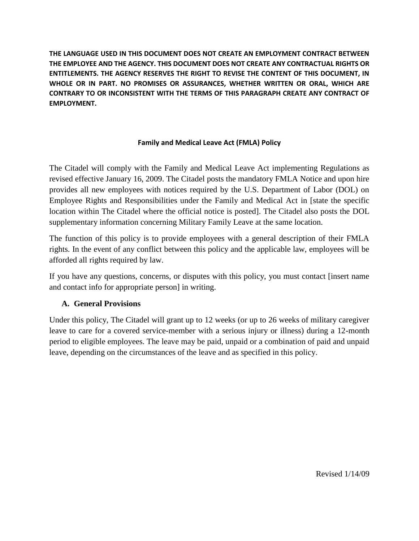# **Family and Medical Leave Act (FMLA) Policy**

The Citadel will comply with the Family and Medical Leave Act implementing Regulations as revised effective January 16, 2009. The Citadel posts the mandatory FMLA Notice and upon hire provides all new employees with notices required by the U.S. Department of Labor (DOL) on Employee Rights and Responsibilities under the Family and Medical Act in [state the specific location within The Citadel where the official notice is posted]. The Citadel also posts the DOL supplementary information concerning Military Family Leave at the same location.

The function of this policy is to provide employees with a general description of their FMLA rights. In the event of any conflict between this policy and the applicable law, employees will be afforded all rights required by law.

If you have any questions, concerns, or disputes with this policy, you must contact [insert name and contact info for appropriate person] in writing.

## **A. General Provisions**

Under this policy, The Citadel will grant up to 12 weeks (or up to 26 weeks of military caregiver leave to care for a covered service-member with a serious injury or illness) during a 12-month period to eligible employees. The leave may be paid, unpaid or a combination of paid and unpaid leave, depending on the circumstances of the leave and as specified in this policy.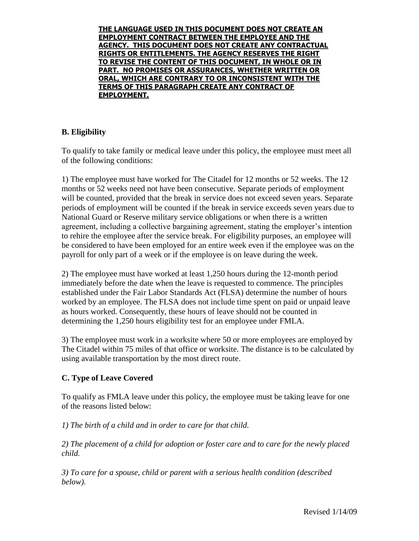# **B. Eligibility**

To qualify to take family or medical leave under this policy, the employee must meet all of the following conditions:

1) The employee must have worked for The Citadel for 12 months or 52 weeks. The 12 months or 52 weeks need not have been consecutive. Separate periods of employment will be counted, provided that the break in service does not exceed seven years. Separate periods of employment will be counted if the break in service exceeds seven years due to National Guard or Reserve military service obligations or when there is a written agreement, including a collective bargaining agreement, stating the employer's intention to rehire the employee after the service break. For eligibility purposes, an employee will be considered to have been employed for an entire week even if the employee was on the payroll for only part of a week or if the employee is on leave during the week.

2) The employee must have worked at least 1,250 hours during the 12-month period immediately before the date when the leave is requested to commence. The principles established under the Fair Labor Standards Act (FLSA) determine the number of hours worked by an employee. The FLSA does not include time spent on paid or unpaid leave as hours worked. Consequently, these hours of leave should not be counted in determining the 1,250 hours eligibility test for an employee under FMLA.

3) The employee must work in a worksite where 50 or more employees are employed by The Citadel within 75 miles of that office or worksite. The distance is to be calculated by using available transportation by the most direct route.

# **C. Type of Leave Covered**

To qualify as FMLA leave under this policy, the employee must be taking leave for one of the reasons listed below:

*1) The birth of a child and in order to care for that child.*

*2) The placement of a child for adoption or foster care and to care for the newly placed child.*

*3) To care for a spouse, child or parent with a serious health condition (described below).*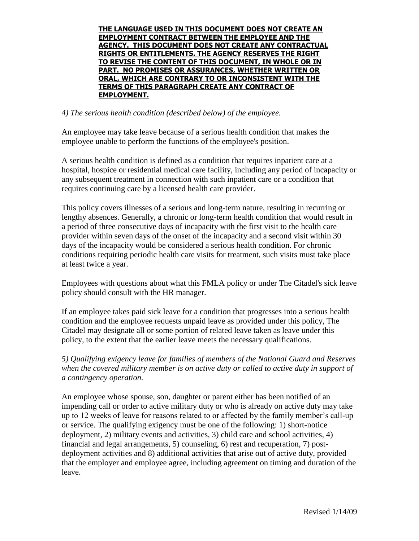#### *4) The serious health condition (described below) of the employee.*

An employee may take leave because of a serious health condition that makes the employee unable to perform the functions of the employee's position.

A serious health condition is defined as a condition that requires inpatient care at a hospital, hospice or residential medical care facility, including any period of incapacity or any subsequent treatment in connection with such inpatient care or a condition that requires continuing care by a licensed health care provider.

This policy covers illnesses of a serious and long-term nature, resulting in recurring or lengthy absences. Generally, a chronic or long-term health condition that would result in a period of three consecutive days of incapacity with the first visit to the health care provider within seven days of the onset of the incapacity and a second visit within 30 days of the incapacity would be considered a serious health condition. For chronic conditions requiring periodic health care visits for treatment, such visits must take place at least twice a year.

Employees with questions about what this FMLA policy or under The Citadel's sick leave policy should consult with the HR manager.

If an employee takes paid sick leave for a condition that progresses into a serious health condition and the employee requests unpaid leave as provided under this policy, The Citadel may designate all or some portion of related leave taken as leave under this policy, to the extent that the earlier leave meets the necessary qualifications.

*5) Qualifying exigency leave for families of members of the National Guard and Reserves when the covered military member is on active duty or called to active duty in support of a contingency operation.*

An employee whose spouse, son, daughter or parent either has been notified of an impending call or order to active military duty or who is already on active duty may take up to 12 weeks of leave for reasons related to or affected by the family member's call-up or service. The qualifying exigency must be one of the following: 1) short-notice deployment, 2) military events and activities, 3) child care and school activities, 4) financial and legal arrangements, 5) counseling, 6) rest and recuperation, 7) postdeployment activities and 8) additional activities that arise out of active duty, provided that the employer and employee agree, including agreement on timing and duration of the leave.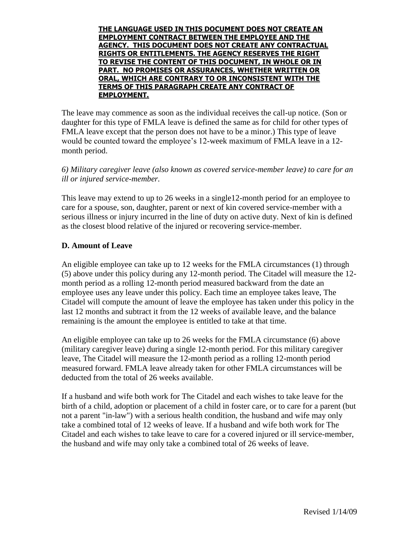The leave may commence as soon as the individual receives the call-up notice. (Son or daughter for this type of FMLA leave is defined the same as for child for other types of FMLA leave except that the person does not have to be a minor.) This type of leave would be counted toward the employee's 12-week maximum of FMLA leave in a 12 month period.

*6) Military caregiver leave (also known as covered service-member leave) to care for an ill or injured service-member.*

This leave may extend to up to 26 weeks in a single12-month period for an employee to care for a spouse, son, daughter, parent or next of kin covered service-member with a serious illness or injury incurred in the line of duty on active duty. Next of kin is defined as the closest blood relative of the injured or recovering service-member.

## **D. Amount of Leave**

An eligible employee can take up to 12 weeks for the FMLA circumstances (1) through (5) above under this policy during any 12-month period. The Citadel will measure the 12 month period as a rolling 12-month period measured backward from the date an employee uses any leave under this policy. Each time an employee takes leave, The Citadel will compute the amount of leave the employee has taken under this policy in the last 12 months and subtract it from the 12 weeks of available leave, and the balance remaining is the amount the employee is entitled to take at that time.

An eligible employee can take up to 26 weeks for the FMLA circumstance (6) above (military caregiver leave) during a single 12-month period. For this military caregiver leave, The Citadel will measure the 12-month period as a rolling 12-month period measured forward. FMLA leave already taken for other FMLA circumstances will be deducted from the total of 26 weeks available.

If a husband and wife both work for The Citadel and each wishes to take leave for the birth of a child, adoption or placement of a child in foster care, or to care for a parent (but not a parent "in-law") with a serious health condition, the husband and wife may only take a combined total of 12 weeks of leave. If a husband and wife both work for The Citadel and each wishes to take leave to care for a covered injured or ill service-member, the husband and wife may only take a combined total of 26 weeks of leave.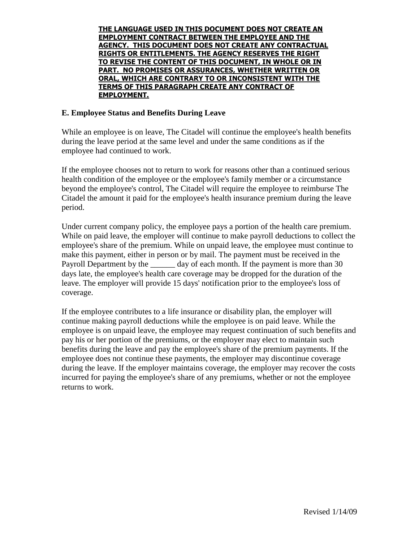#### **E. Employee Status and Benefits During Leave**

While an employee is on leave, The Citadel will continue the employee's health benefits during the leave period at the same level and under the same conditions as if the employee had continued to work.

If the employee chooses not to return to work for reasons other than a continued serious health condition of the employee or the employee's family member or a circumstance beyond the employee's control, The Citadel will require the employee to reimburse The Citadel the amount it paid for the employee's health insurance premium during the leave period.

Under current company policy, the employee pays a portion of the health care premium. While on paid leave, the employer will continue to make payroll deductions to collect the employee's share of the premium. While on unpaid leave, the employee must continue to make this payment, either in person or by mail. The payment must be received in the Payroll Department by the day of each month. If the payment is more than 30 days late, the employee's health care coverage may be dropped for the duration of the leave. The employer will provide 15 days' notification prior to the employee's loss of coverage.

If the employee contributes to a life insurance or disability plan, the employer will continue making payroll deductions while the employee is on paid leave. While the employee is on unpaid leave, the employee may request continuation of such benefits and pay his or her portion of the premiums, or the employer may elect to maintain such benefits during the leave and pay the employee's share of the premium payments. If the employee does not continue these payments, the employer may discontinue coverage during the leave. If the employer maintains coverage, the employer may recover the costs incurred for paying the employee's share of any premiums, whether or not the employee returns to work.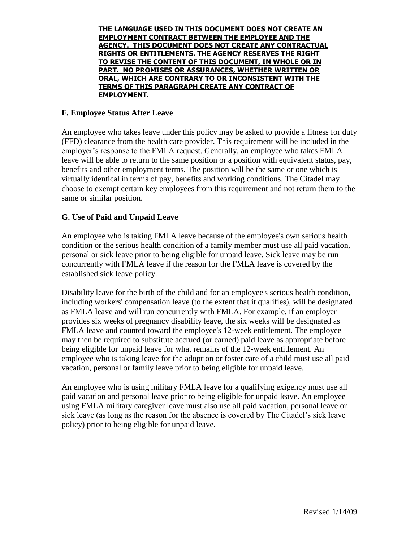#### **F. Employee Status After Leave**

An employee who takes leave under this policy may be asked to provide a fitness for duty (FFD) clearance from the health care provider. This requirement will be included in the employer's response to the FMLA request. Generally, an employee who takes FMLA leave will be able to return to the same position or a position with equivalent status, pay, benefits and other employment terms. The position will be the same or one which is virtually identical in terms of pay, benefits and working conditions. The Citadel may choose to exempt certain key employees from this requirement and not return them to the same or similar position.

#### **G. Use of Paid and Unpaid Leave**

An employee who is taking FMLA leave because of the employee's own serious health condition or the serious health condition of a family member must use all paid vacation, personal or sick leave prior to being eligible for unpaid leave. Sick leave may be run concurrently with FMLA leave if the reason for the FMLA leave is covered by the established sick leave policy.

Disability leave for the birth of the child and for an employee's serious health condition, including workers' compensation leave (to the extent that it qualifies), will be designated as FMLA leave and will run concurrently with FMLA. For example, if an employer provides six weeks of pregnancy disability leave, the six weeks will be designated as FMLA leave and counted toward the employee's 12-week entitlement. The employee may then be required to substitute accrued (or earned) paid leave as appropriate before being eligible for unpaid leave for what remains of the 12-week entitlement. An employee who is taking leave for the adoption or foster care of a child must use all paid vacation, personal or family leave prior to being eligible for unpaid leave.

An employee who is using military FMLA leave for a qualifying exigency must use all paid vacation and personal leave prior to being eligible for unpaid leave. An employee using FMLA military caregiver leave must also use all paid vacation, personal leave or sick leave (as long as the reason for the absence is covered by The Citadel's sick leave policy) prior to being eligible for unpaid leave.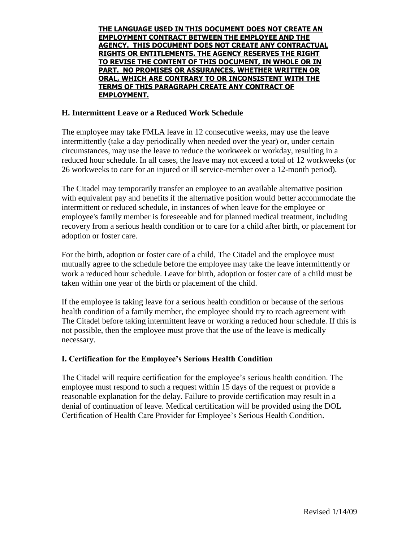#### **H. Intermittent Leave or a Reduced Work Schedule**

The employee may take FMLA leave in 12 consecutive weeks, may use the leave intermittently (take a day periodically when needed over the year) or, under certain circumstances, may use the leave to reduce the workweek or workday, resulting in a reduced hour schedule. In all cases, the leave may not exceed a total of 12 workweeks (or 26 workweeks to care for an injured or ill service-member over a 12-month period).

The Citadel may temporarily transfer an employee to an available alternative position with equivalent pay and benefits if the alternative position would better accommodate the intermittent or reduced schedule, in instances of when leave for the employee or employee's family member is foreseeable and for planned medical treatment, including recovery from a serious health condition or to care for a child after birth, or placement for adoption or foster care.

For the birth, adoption or foster care of a child, The Citadel and the employee must mutually agree to the schedule before the employee may take the leave intermittently or work a reduced hour schedule. Leave for birth, adoption or foster care of a child must be taken within one year of the birth or placement of the child.

If the employee is taking leave for a serious health condition or because of the serious health condition of a family member, the employee should try to reach agreement with The Citadel before taking intermittent leave or working a reduced hour schedule. If this is not possible, then the employee must prove that the use of the leave is medically necessary.

## **I. Certification for the Employee's Serious Health Condition**

The Citadel will require certification for the employee's serious health condition. The employee must respond to such a request within 15 days of the request or provide a reasonable explanation for the delay. Failure to provide certification may result in a denial of continuation of leave. Medical certification will be provided using the DOL Certification of Health Care Provider for Employee's Serious Health Condition.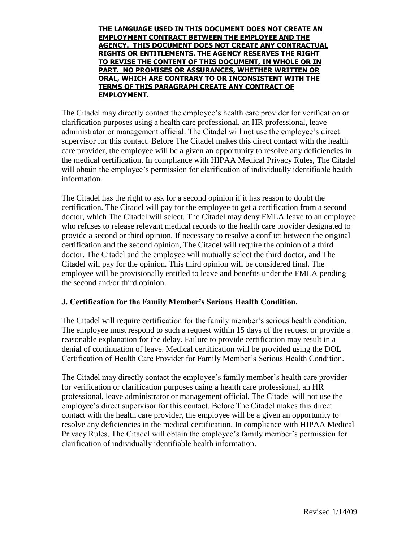The Citadel may directly contact the employee's health care provider for verification or clarification purposes using a health care professional, an HR professional, leave administrator or management official. The Citadel will not use the employee's direct supervisor for this contact. Before The Citadel makes this direct contact with the health care provider, the employee will be a given an opportunity to resolve any deficiencies in the medical certification. In compliance with HIPAA Medical Privacy Rules, The Citadel will obtain the employee's permission for clarification of individually identifiable health information.

The Citadel has the right to ask for a second opinion if it has reason to doubt the certification. The Citadel will pay for the employee to get a certification from a second doctor, which The Citadel will select. The Citadel may deny FMLA leave to an employee who refuses to release relevant medical records to the health care provider designated to provide a second or third opinion. If necessary to resolve a conflict between the original certification and the second opinion, The Citadel will require the opinion of a third doctor. The Citadel and the employee will mutually select the third doctor, and The Citadel will pay for the opinion. This third opinion will be considered final. The employee will be provisionally entitled to leave and benefits under the FMLA pending the second and/or third opinion.

## **J. Certification for the Family Member's Serious Health Condition.**

The Citadel will require certification for the family member's serious health condition. The employee must respond to such a request within 15 days of the request or provide a reasonable explanation for the delay. Failure to provide certification may result in a denial of continuation of leave. Medical certification will be provided using the DOL Certification of Health Care Provider for Family Member's Serious Health Condition.

The Citadel may directly contact the employee's family member's health care provider for verification or clarification purposes using a health care professional, an HR professional, leave administrator or management official. The Citadel will not use the employee's direct supervisor for this contact. Before The Citadel makes this direct contact with the health care provider, the employee will be a given an opportunity to resolve any deficiencies in the medical certification. In compliance with HIPAA Medical Privacy Rules, The Citadel will obtain the employee's family member's permission for clarification of individually identifiable health information.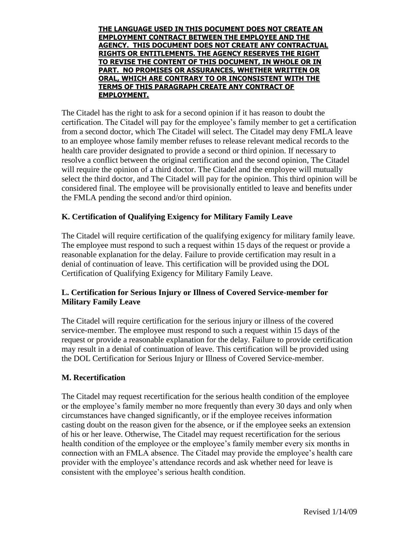The Citadel has the right to ask for a second opinion if it has reason to doubt the certification. The Citadel will pay for the employee's family member to get a certification from a second doctor, which The Citadel will select. The Citadel may deny FMLA leave to an employee whose family member refuses to release relevant medical records to the health care provider designated to provide a second or third opinion. If necessary to resolve a conflict between the original certification and the second opinion, The Citadel will require the opinion of a third doctor. The Citadel and the employee will mutually select the third doctor, and The Citadel will pay for the opinion. This third opinion will be considered final. The employee will be provisionally entitled to leave and benefits under the FMLA pending the second and/or third opinion.

# **K. Certification of Qualifying Exigency for Military Family Leave**

The Citadel will require certification of the qualifying exigency for military family leave. The employee must respond to such a request within 15 days of the request or provide a reasonable explanation for the delay. Failure to provide certification may result in a denial of continuation of leave. This certification will be provided using the DOL Certification of Qualifying Exigency for Military Family Leave.

# **L. Certification for Serious Injury or Illness of Covered Service-member for Military Family Leave**

The Citadel will require certification for the serious injury or illness of the covered service-member. The employee must respond to such a request within 15 days of the request or provide a reasonable explanation for the delay. Failure to provide certification may result in a denial of continuation of leave. This certification will be provided using the DOL Certification for Serious Injury or Illness of Covered Service-member.

## **M. Recertification**

The Citadel may request recertification for the serious health condition of the employee or the employee's family member no more frequently than every 30 days and only when circumstances have changed significantly, or if the employee receives information casting doubt on the reason given for the absence, or if the employee seeks an extension of his or her leave. Otherwise, The Citadel may request recertification for the serious health condition of the employee or the employee's family member every six months in connection with an FMLA absence. The Citadel may provide the employee's health care provider with the employee's attendance records and ask whether need for leave is consistent with the employee's serious health condition.